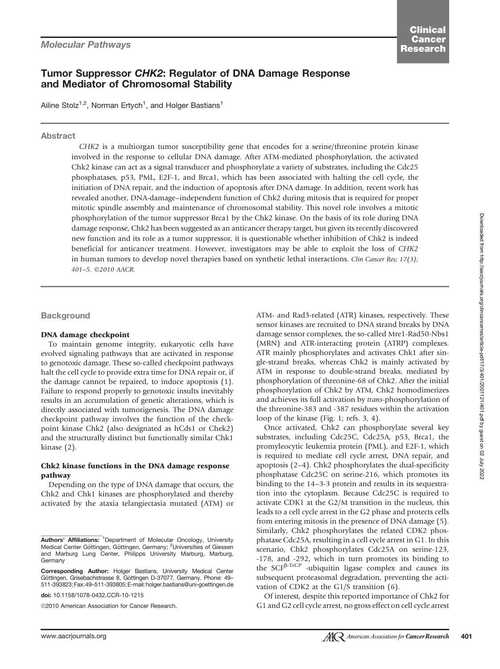# Tumor Suppressor CHK2: Regulator of DNA Damage Response and Mediator of Chromosomal Stability

Ailine Stolz<sup>1,2</sup>, Norman Ertych<sup>1</sup>, and Holger Bastians<sup>1</sup>

# Abstract

CHK2 is a multiorgan tumor susceptibility gene that encodes for a serine/threonine protein kinase involved in the response to cellular DNA damage. After ATM-mediated phosphorylation, the activated Chk2 kinase can act as a signal transducer and phosphorylate a variety of substrates, including the Cdc25 phosphatases, p53, PML, E2F-1, and Brca1, which has been associated with halting the cell cycle, the initiation of DNA repair, and the induction of apoptosis after DNA damage. In addition, recent work has revealed another, DNA-damage–independent function of Chk2 during mitosis that is required for proper mitotic spindle assembly and maintenance of chromosomal stability. This novel role involves a mitotic phosphorylation of the tumor suppressor Brca1 by the Chk2 kinase. On the basis of its role during DNA damage response, Chk2 has been suggested as an anticancer therapy target, but given its recently discovered new function and its role as a tumor suppressor, it is questionable whether inhibition of Chk2 is indeed beneficial for anticancer treatment. However, investigators may be able to exploit the loss of CHK2 in human tumors to develop novel therapies based on synthetic lethal interactions. Clin Cancer Res; 17(3); 401-5. ©2010 AACR.

**Background** 

# DNA damage checkpoint

To maintain genome integrity, eukaryotic cells have evolved signaling pathways that are activated in response to genotoxic damage. These so-called checkpoint pathways halt the cell cycle to provide extra time for DNA repair or, if the damage cannot be repaired, to induce apoptosis (1). Failure to respond properly to genotoxic insults inevitably results in an accumulation of genetic alterations, which is directly associated with tumorigenesis. The DNA damage checkpoint pathway involves the function of the checkpoint kinase Chk2 (also designated as hCds1 or Chek2) and the structurally distinct but functionally similar Chk1 kinase (2).

# Chk2 kinase functions in the DNA damage response pathway

Depending on the type of DNA damage that occurs, the Chk2 and Chk1 kinases are phosphorylated and thereby activated by the ataxia telangiectasia mutated (ATM) or

doi: 10.1158/1078-0432.CCR-10-1215

2010 American Association for Cancer Research.

ATM- and Rad3-related (ATR) kinases, respectively. These sensor kinases are recruited to DNA strand breaks by DNA damage sensor complexes, the so-called Mre1-Rad50-Nbs1 (MRN) and ATR-interacting protein (ATRP) complexes. ATR mainly phosphorylates and activates Chk1 after single-strand breaks, whereas Chk2 is mainly activated by ATM in response to double-strand breaks, mediated by phosphorylation of threonine-68 of Chk2. After the initial phosphorylation of Chk2 by ATM, Chk2 homodimerizes and achieves its full activation by trans-phosphorylation of the threonine-383 and -387 residues within the activation loop of the kinase (Fig. 1; refs. 3, 4).

Once activated, Chk2 can phosphorylate several key substrates, including Cdc25C, Cdc25A, p53, Brca1, the promyleocytic leukemia protein (PML), and E2F-1, which is required to mediate cell cycle arrest, DNA repair, and apoptosis (2–4). Chk2 phosphorylates the dual-specificity phosphatase Cdc25C on serine-216, which promotes its binding to the 14–3-3 protein and results in its sequestration into the cytoplasm. Because Cdc25C is required to activate CDK1 at the G2/M transition in the nucleus, this leads to a cell cycle arrest in the G2 phase and protects cells from entering mitosis in the presence of DNA damage (5). Similarly, Chk2 phosphorylates the related CDK2 phosphatase Cdc25A, resulting in a cell cycle arrest in G1. In this scenario, Chk2 phosphorylates Cdc25A on serine-123, -178, and -292, which in turn promotes its binding to the  $SCF<sup>\beta-TrCP</sup>$  -ubiquitin ligase complex and causes its subsequent proteasomal degradation, preventing the activation of CDK2 at the G1/S transition (6).

Of interest, despite this reported importance of Chk2 for G1 and G2 cell cycle arrest, no gross effect on cell cycle arrest

Authors' Affiliations: <sup>1</sup>Department of Molecular Oncology, University Medical Center Göttingen, Göttingen, Germany; <sup>2</sup>Universities of Giessen and Marburg Lung Center, Philipps University Marburg, Marburg, Germany

Corresponding Author: Holger Bastians, University Medical Center Göttingen, Grisebachstrasse 8, Göttingen D-37077, Germany. Phone: 49-511-393823;Fax:49–511-393805;E-mail:holger.bastians@uni-goettingen.de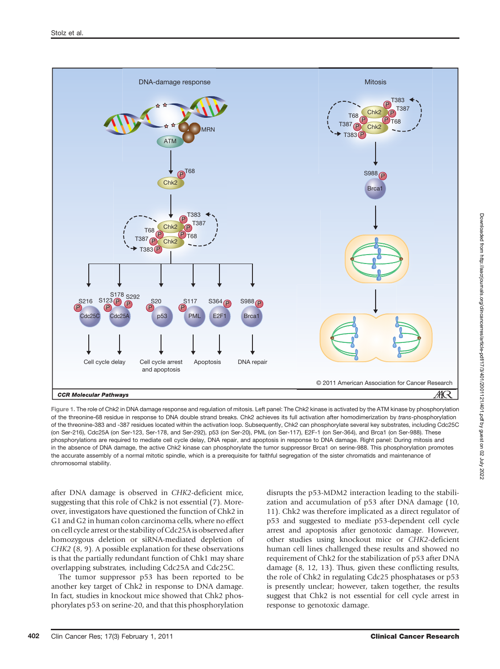

Figure 1. The role of Chk2 in DNA damage response and regulation of mitosis. Left panel: The Chk2 kinase is activated by the ATM kinase by phosphorylation of the threonine-68 residue in response to DNA double strand breaks. Chk2 achieves its full activation after homodimerization by trans-phosphorylation of the threonine-383 and -387 residues located within the activation loop. Subsequently, Chk2 can phosphorylate several key substrates, including Cdc25C (on Ser-216), Cdc25A (on Ser-123, Ser-178, and Ser-292), p53 (on Ser-20), PML (on Ser-117), E2F-1 (on Ser-364), and Brca1 (on Ser-988). These phosphorylations are required to mediate cell cycle delay, DNA repair, and apoptosis in response to DNA damage. Right panel: During mitosis and in the absence of DNA damage, the active Chk2 kinase can phosphorylate the tumor suppressor Brca1 on serine-988. This phosphorylation promotes the accurate assembly of a normal mitotic spindle, which is a prerequisite for faithful segregation of the sister chromatids and maintenance of chromosomal stability.

after DNA damage is observed in CHK2-deficient mice, suggesting that this role of Chk2 is not essential (7). Moreover, investigators have questioned the function of Chk2 in G1 and G2 in human colon carcinoma cells, where no effect on cell cycle arrest or the stability of Cdc25A is observed after homozygous deletion or siRNA-mediated depletion of CHK2 (8, 9). A possible explanation for these observations is that the partially redundant function of Chk1 may share overlapping substrates, including Cdc25A and Cdc25C.

The tumor suppressor p53 has been reported to be another key target of Chk2 in response to DNA damage. In fact, studies in knockout mice showed that Chk2 phosphorylates p53 on serine-20, and that this phosphorylation disrupts the p53-MDM2 interaction leading to the stabilization and accumulation of p53 after DNA damage (10, 11). Chk2 was therefore implicated as a direct regulator of p53 and suggested to mediate p53-dependent cell cycle arrest and apoptosis after genotoxic damage. However, other studies using knockout mice or CHK2-deficient human cell lines challenged these results and showed no requirement of Chk2 for the stabilization of p53 after DNA damage (8, 12, 13). Thus, given these conflicting results, the role of Chk2 in regulating Cdc25 phosphatases or p53 is presently unclear; however, taken together, the results suggest that Chk2 is not essential for cell cycle arrest in response to genotoxic damage.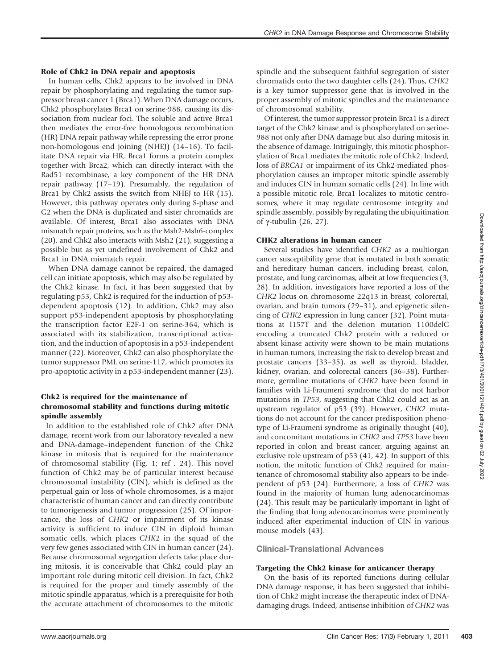# Role of Chk2 in DNA repair and apoptosis

In human cells, Chk2 appears to be involved in DNA repair by phosphorylating and regulating the tumor suppressor breast cancer 1 (Brca1). When DNA damage occurs, Chk2 phosphorylates Brca1 on serine-988, causing its dissociation from nuclear foci. The soluble and active Brca1 then mediates the error-free homologous recombination (HR) DNA repair pathway while repressing the error prone non-homologous end joining (NHEJ) (14–16). To facilitate DNA repair via HR, Brca1 forms a protein complex together with Brca2, which can directly interact with the Rad51 recombinase, a key component of the HR DNA repair pathway (17–19). Presumably, the regulation of Brca1 by Chk2 assists the switch from NHEJ to HR (15). However, this pathway operates only during S-phase and G2 when the DNA is duplicated and sister chromatids are available. Of interest, Brca1 also associates with DNA mismatch repair proteins, such as the Msh2-Msh6-complex (20), and Chk2 also interacts with Msh2 (21), suggesting a possible but as yet undefined involvement of Chk2 and Brca1 in DNA mismatch repair.

When DNA damage cannot be repaired, the damaged cell can initiate apoptosis, which may also be regulated by the Chk2 kinase. In fact, it has been suggested that by regulating p53, Chk2 is required for the induction of p53 dependent apoptosis (12). In addition, Chk2 may also support p53-independent apoptosis by phosphorylating the transcription factor E2F-1 on serine-364, which is associated with its stabilization, transcriptional activation, and the induction of apoptosis in a p53-independent manner (22). Moreover, Chk2 can also phosphorylate the tumor suppressor PML on serine-117, which promotes its pro-apoptotic activity in a p53-independent manner (23).

#### Chk2 is required for the maintenance of chromosomal stability and functions during mitotic spindle assembly

In addition to the established role of Chk2 after DNA damage, recent work from our laboratory revealed a new and DNA-damage–independent function of the Chk2 kinase in mitosis that is required for the maintenance of chromosomal stability (Fig. 1; ref . 24). This novel function of Chk2 may be of particular interest because chromosomal instability (CIN), which is defined as the perpetual gain or loss of whole chromosomes, is a major characteristic of human cancer and can directly contribute to tumorigenesis and tumor progression (25). Of importance, the loss of CHK2 or impairment of its kinase activity is sufficient to induce CIN in diploid human somatic cells, which places CHK2 in the squad of the very few genes associated with CIN in human cancer (24). Because chromosomal segregation defects take place during mitosis, it is conceivable that Chk2 could play an important role during mitotic cell division. In fact, Chk2 is required for the proper and timely assembly of the mitotic spindle apparatus, which is a prerequisite for both the accurate attachment of chromosomes to the mitotic

spindle and the subsequent faithful segregation of sister chromatids onto the two daughter cells (24). Thus, CHK2 is a key tumor suppressor gene that is involved in the proper assembly of mitotic spindles and the maintenance of chromosomal stability.

Of interest, the tumor suppressor protein Brca1 is a direct target of the Chk2 kinase and is phosphorylated on serine-988 not only after DNA damage but also during mitosis in the absence of damage. Intriguingly, this mitotic phosphorylation of Brca1 mediates the mitotic role of Chk2. Indeed, loss of BRCA1 or impairment of its Chk2-mediated phosphorylation causes an improper mitotic spindle assembly and induces CIN in human somatic cells (24). In line with a possible mitotic role, Brca1 localizes to mitotic centrosomes, where it may regulate centrosome integrity and spindle assembly, possibly by regulating the ubiquitination of  $\gamma$ -tubulin (26, 27).

# CHK2 alterations in human cancer

Several studies have identified CHK2 as a multiorgan cancer susceptibility gene that is mutated in both somatic and hereditary human cancers, including breast, colon, prostate, and lung carcinomas, albeit at low frequencies (3, 28). In addition, investigators have reported a loss of the CHK2 locus on chromosome 22q13 in breast, colorectal, ovarian, and brain tumors (29–31), and epigenetic silencing of CHK2 expression in lung cancer (32). Point mutations at I157T and the deletion mutation 1100delC encoding a truncated Chk2 protein with a reduced or absent kinase activity were shown to be main mutations in human tumors, increasing the risk to develop breast and prostate cancers (33–35), as well as thyroid, bladder, kidney, ovarian, and colorectal cancers (36–38). Furthermore, germline mutations of CHK2 have been found in families with Li-Fraumeni syndrome that do not harbor mutations in TP53, suggesting that Chk2 could act as an upstream regulator of p53 (39). However, CHK2 mutations do not account for the cancer predisposition phenotype of Li-Fraumeni syndrome as originally thought (40), and concomitant mutations in CHK2 and TP53 have been reported in colon and breast cancer, arguing against an exclusive role upstream of p53 (41, 42). In support of this notion, the mitotic function of Chk2 required for maintenance of chromosomal stability also appears to be independent of p53 (24). Furthermore, a loss of CHK2 was found in the majority of human lung adenocarcinomas (24). This result may be particularly important in light of the finding that lung adenocarcinomas were prominently induced after experimental induction of CIN in various mouse models (43).

# Clinical-Translational Advances

#### Targeting the Chk2 kinase for anticancer therapy

On the basis of its reported functions during cellular DNA damage response, it has been suggested that inhibition of Chk2 might increase the therapeutic index of DNAdamaging drugs. Indeed, antisense inhibition of CHK2 was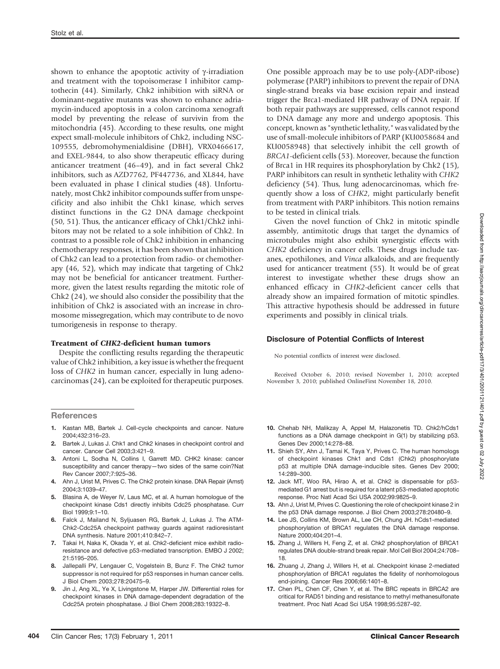shown to enhance the apoptotic activity of  $\gamma$ -irradiation and treatment with the topoisomerase I inhibitor camptothecin (44). Similarly, Chk2 inhibition with siRNA or dominant-negative mutants was shown to enhance adriamycin-induced apoptosis in a colon carcinoma xenograft model by preventing the release of survivin from the mitochondria (45). According to these results, one might expect small-molecule inhibitors of Chk2, including NSC-109555, debromohymenialdisine (DBH), VRX0466617, and EXEL-9844, to also show therapeutic efficacy during anticancer treatment (46–49), and in fact several Chk2 inhibitors, such as AZD7762, PF447736, and XL844, have been evaluated in phase I clinical studies (48). Unfortunately, most Chk2 inhibitor compounds suffer from unspecificity and also inhibit the Chk1 kinase, which serves distinct functions in the G2 DNA damage checkpoint (50, 51). Thus, the anticancer efficacy of Chk1/Chk2 inhibitors may not be related to a sole inhibition of Chk2. In contrast to a possible role of Chk2 inhibition in enhancing chemotherapy responses, it has been shown that inhibition of Chk2 can lead to a protection from radio- or chemotherapy (46, 52), which may indicate that targeting of Chk2 may not be beneficial for anticancer treatment. Furthermore, given the latest results regarding the mitotic role of Chk2 (24), we should also consider the possibility that the inhibition of Chk2 is associated with an increase in chromosome missegregation, which may contribute to de novo tumorigenesis in response to therapy.

#### Treatment of CHK2-deficient human tumors

Despite the conflicting results regarding the therapeutic value of Chk2 inhibition, a key issue is whether the frequent loss of CHK2 in human cancer, especially in lung adenocarcinomas (24), can be exploited for therapeutic purposes.

#### **References**

- 1. Kastan MB, Bartek J. Cell-cycle checkpoints and cancer. Nature 2004;432:316–23.
- 2. Bartek J, Lukas J. Chk1 and Chk2 kinases in checkpoint control and cancer. Cancer Cell 2003;3:421–9.
- 3. Antoni L, Sodha N, Collins I, Garrett MD. CHK2 kinase: cancer susceptibility and cancer therapy—two sides of the same coin?Nat Rev Cancer 2007;7:925–36.
- 4. Ahn J, Urist M, Prives C. The Chk2 protein kinase. DNA Repair (Amst) 2004;3:1039–47.
- 5. Blasina A, de Weyer IV, Laus MC, et al. A human homologue of the checkpoint kinase Cds1 directly inhibits Cdc25 phosphatase. Curr Biol 1999;9:1–10.
- 6. Falck J, Mailand N, Syljuasen RG, Bartek J, Lukas J. The ATM-Chk2-Cdc25A checkpoint pathway guards against radioresistant DNA synthesis. Nature 2001;410:842–7.
- 7. Takai H, Naka K, Okada Y, et al. Chk2-deficient mice exhibit radioresistance and defective p53-mediated transcription. EMBO J 2002; 21:5195–205.
- 8. Jallepalli PV, Lengauer C, Vogelstein B, Bunz F. The Chk2 tumor suppressor is not required for p53 responses in human cancer cells. J Biol Chem 2003;278:20475–9.
- 9. Jin J, Ang XL, Ye X, Livingstone M, Harper JW. Differential roles for checkpoint kinases in DNA damage-dependent degradation of the Cdc25A protein phosphatase. J Biol Chem 2008;283:19322–8.

One possible approach may be to use poly-(ADP-ribose) polymerase (PARP) inhibitors to prevent the repair of DNA single-strand breaks via base excision repair and instead trigger the Brca1-mediated HR pathway of DNA repair. If both repair pathways are suppressed, cells cannot respond to DNA damage any more and undergo apoptosis. This concept, known as "syntheticlethality," was validated by the use of small-molecule inhibitors of PARP (KU0058684 and KU0058948) that selectively inhibit the cell growth of BRCA1-deficient cells (53). Moreover, because the function of Brca1 in HR requires its phosphorylation by Chk2 (15), PARP inhibitors can result in synthetic lethality with CHK2 deficiency (54). Thus, lung adenocarcinomas, which frequently show a loss of CHK2, might particularly benefit from treatment with PARP inhibitors. This notion remains to be tested in clinical trials.

Given the novel function of Chk2 in mitotic spindle assembly, antimitotic drugs that target the dynamics of microtubules might also exhibit synergistic effects with CHK2 deficiency in cancer cells. These drugs include taxanes, epothilones, and Vinca alkaloids, and are frequently used for anticancer treatment (55). It would be of great interest to investigate whether these drugs show an enhanced efficacy in CHK2-deficient cancer cells that already show an impaired formation of mitotic spindles. This attractive hypothesis should be addressed in future experiments and possibly in clinical trials.

#### Disclosure of Potential Conflicts of Interest

No potential conflicts of interest were disclosed.

Received October 6, 2010; revised November 1, 2010; accepted November 3, 2010; published OnlineFirst November 18, 2010.

- 10. Chehab NH, Malikzay A, Appel M, Halazonetis TD. Chk2/hCds1 functions as a DNA damage checkpoint in G(1) by stabilizing p53. Genes Dev 2000;14:278–88.
- 11. Shieh SY, Ahn J, Tamai K, Taya Y, Prives C. The human homologs of checkpoint kinases Chk1 and Cds1 (Chk2) phosphorylate p53 at multiple DNA damage-inducible sites. Genes Dev 2000; 14:289–300.
- 12. Jack MT, Woo RA, Hirao A, et al. Chk2 is dispensable for p53 mediated G1 arrest but is required for a latent p53-mediated apoptotic response. Proc Natl Acad Sci USA 2002;99:9825–9.
- 13. Ahn J. Urist M. Prives C. Questioning the role of checkpoint kinase 2 in the p53 DNA damage response. J Biol Chem 2003;278:20480–9.
- 14. Lee JS, Collins KM, Brown AL, Lee CH, Chung JH. hCds1-mediated phosphorylation of BRCA1 regulates the DNA damage response. Nature 2000;404:201–4.
- 15. Zhang J, Willers H, Feng Z, et al. Chk2 phosphorylation of BRCA1 regulates DNA double-strand break repair. Mol Cell Biol 2004;24:708– 18.
- 16. Zhuang J, Zhang J, Willers H, et al. Checkpoint kinase 2-mediated phosphorylation of BRCA1 regulates the fidelity of nonhomologous end-joining. Cancer Res 2006;66:1401–8.
- 17. Chen PL, Chen CF, Chen Y, et al. The BRC repeats in BRCA2 are critical for RAD51 binding and resistance to methyl methanesulfonate treatment. Proc Natl Acad Sci USA 1998;95:5287–92.